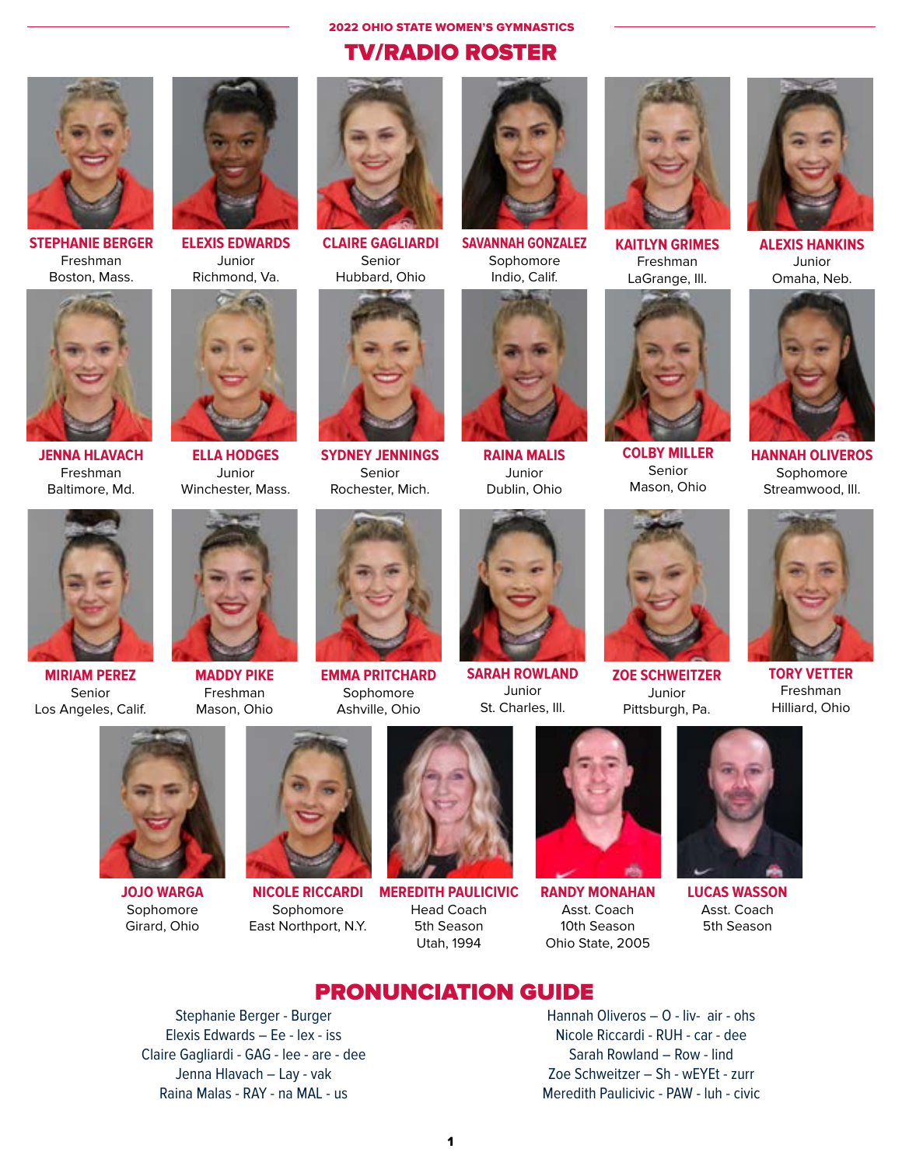**2022 OHIO STATE WOMEN'S GYMNASTICS TV/RADIO ROSTER** 



**STEPHANIE BERGER** Freshman Boston, Mass.



**JENNA HLAVACH** Freshman Baltimore, Md.



**ELEXIS EDWARDS** Junior Richmond, Va.



**ELLA HODGES** Junior Winchester, Mass.



**CLAIRE GAGLIARDI** Senior Hubbard, Ohio



**SYDNEY JENNINGS** Senior Rochester, Mich.



**SAVANNAH GONZALEZ** Sophomore Indio, Calif.



**RAINA MALIS** Junior Dublin, Ohio



**KAITLYN GRIMES** Freshman LaGrange, III.



**COLBY MILLER** Senior Mason, Ohio



**ALEXIS HANKINS** Junior Omaha, Neb.



**HANNAH OLIVEROS** Sophomore Streamwood, III.



**MIRIAM PEREZ** Senior Los Angeles, Calif.



**MADDY PIKE** Freshman Mason, Ohio



Sophomore Ashville, Ohio



**SARAH ROWLAND** Junior St. Charles, III.



**ZOE SCHWEITZER** Junior Pittsburgh, Pa.



**TORY VETTER** Freshman Hilliard, Ohio



**JOJO WARGA** Sophomore Girard, Ohio



**NICOLE RICCARDI** Sophomore East Northport, N.Y.



**MEREDITH PAULICIVIC Head Coach** 5th Season Utah, 1994



**RANDY MONAHAN** Asst. Coach 10th Season Ohio State, 2005



**LUCAS WASSON** Asst. Coach 5th Season

# **PRONUNCIATION GUIDE**

Stephanie Berger - Burger Elexis Edwards - Ee - lex - iss Claire Gagliardi - GAG - lee - are - dee Jenna Hlavach - Lay - vak Raina Malas - RAY - na MAL - us

Hannah Oliveros - O - liv- air - ohs Nicole Riccardi - RUH - car - dee Sarah Rowland - Row - lind Zoe Schweitzer - Sh - wEYEt - zurr Meredith Paulicivic - PAW - luh - civic





**EMMA PRITCHARD** 

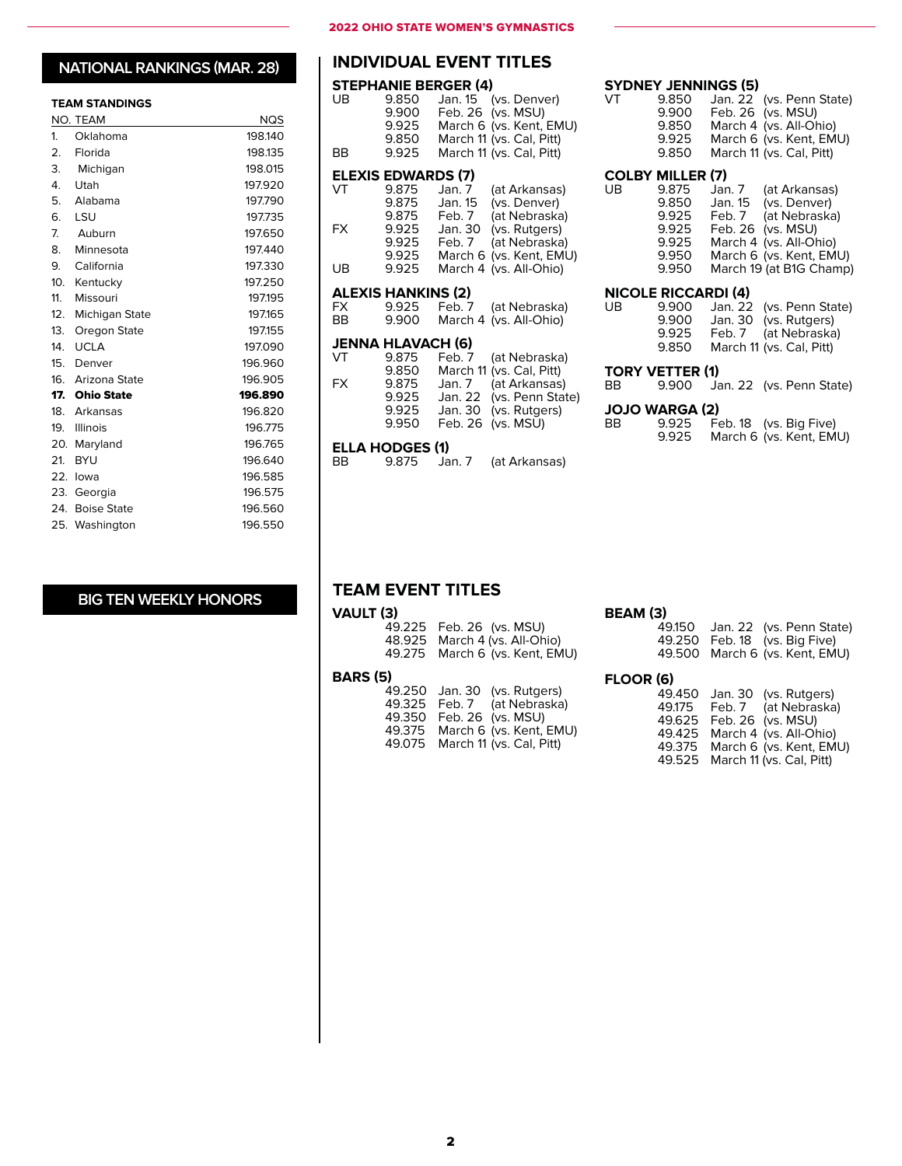#### **TEAM STANDINGS**

|                  | . <i></i>         |         |
|------------------|-------------------|---------|
|                  | NO. TEAM          | NQS     |
| 1.               | Oklahoma          | 198.140 |
| $\overline{2}$ . | Florida           | 198.135 |
|                  | 3. Michigan       | 198.015 |
| 4.               | <b>Utah</b>       | 197.920 |
| 5.               | Alabama           | 197.790 |
|                  | 6. LSU            | 197.735 |
|                  | 7. Auburn         | 197.650 |
| 8.               | Minnesota         | 197.440 |
| 9.               | California        | 197.330 |
|                  | 10. Kentucky      | 197.250 |
| 11.              | Missouri          | 197.195 |
| 12.              | Michigan State    | 197.165 |
| 13.              | Oregon State      | 197.155 |
| 14.              | <b>UCLA</b>       | 197.090 |
|                  | 15. Denver        | 196.960 |
|                  | 16. Arizona State | 196.905 |
|                  | 17. Ohio State    | 196.890 |
|                  | 18. Arkansas      | 196.820 |
|                  | 19. Illinois      | 196.775 |
|                  | 20. Maryland      | 196.765 |
| 21.              | <b>BYU</b>        | 196.640 |
|                  | 22. lowa          | 196.585 |
|                  | 23. Georgia       | 196.575 |
|                  | 24. Boise State   | 196.560 |
|                  | 25. Washington    | 196.550 |

### **BIG TEN WEEKLY HONORS**

#### 2022 OHIO STATE WOMEN'S GYMNASTICS

### **NATIONAL RANKINGS (MAR. 28) | INDIVIDUAL EVENT TITLES**

|          |                                             | <b>STEPHANIE BERGER (4)</b> |                                                                                                                              |
|----------|---------------------------------------------|-----------------------------|------------------------------------------------------------------------------------------------------------------------------|
| UB<br>ВB | 9.850<br>9.900<br>9.925<br>9.850<br>9.925   |                             | Jan. 15 (vs. Denver)<br>Feb. 26 (vs. MSU)<br>March 6 (vs. Kent, EMU)<br>March 11 (vs. Cal, Pitt)<br>March 11 (vs. Cal, Pitt) |
|          |                                             |                             |                                                                                                                              |
| VT       | <b>ELEXIS EDWARDS (7)</b><br>9.875<br>9.875 | Jan. 7<br>Jan. 15           | (at Arkansas)<br>(vs. Denver)                                                                                                |
| FX       | 9.875<br>9.925<br>9.925                     | Feb. 7<br>Jan. 30<br>Feb. 7 | (at Nebraska)<br>(vs. Rutgers)<br>(at Nebraska)                                                                              |
| UB       | 9.925<br>9.925                              | March 6<br>March 4          | (vs. Kent, EMU)<br>(vs. All-Ohio)                                                                                            |
|          | <b>ALEXIS HANKINS (2)</b>                   |                             |                                                                                                                              |
| FX       | 9.925                                       | Feb. 7                      | (at Nebraska)                                                                                                                |
| BB       | 9.900                                       | March 4                     | (vs. All-Ohio)                                                                                                               |
|          | <b>JENNA HLAVACH (6)</b>                    |                             |                                                                                                                              |
| VT       | 9.875<br>9.850                              | Feb. 7<br>March 11          | (at Nebraska)<br>(vs. Cal, Pitt)                                                                                             |
| FX.      | 9.875                                       | Jan. 7                      | (at Arkansas)                                                                                                                |
|          | 9.925                                       | Jan. 22                     | (vs. Penn State)                                                                                                             |
|          | 9.925<br>9.950                              | Jan. 30<br>Feb. 26          | (vs. Rutgers)<br>(vs. MSU)                                                                                                   |
|          | ELLA HODGES (1)                             |                             |                                                                                                                              |
| BВ       | 9.875                                       | Jan. 7                      | (at Arkansas)                                                                                                                |

9.875 Jan. 7 (at Arkansas)

### **COLBY MILLER (7)**

**SYDNEY JENNINGS (5)**<br>VT 9.850 Jan. 22

| UB | 9.875 | (at Arkansas)<br>Jan. 7 |
|----|-------|-------------------------|
|    | 9.850 | (vs. Denver)<br>Jan. 15 |
|    | 9.925 | (at Nebraska)<br>Feb. 7 |
|    | 9.925 | Feb. 26 (vs. MSU)       |
|    | 9.925 | March 4 (vs. All-Ohio)  |
|    | 9.950 | March 6 (vs. Kent, EMU) |
|    | 9.950 | March 19 (at B1G Champ) |
|    |       |                         |

VT 9.850 Jan. 22 (vs. Penn State) 9.900 Feb. 26 (vs. MSU) 9.850 March 4 (vs. All-Ohio) 9.925 March 6 (vs. Kent, EMU) 9.850 March 11 (vs. Cal, Pitt)

# **NICOLE RICCARDI (4)**<br>UB 9.900 Jan. 22

| UB | 9.900 | Jan. 22 (vs. Penn State) |
|----|-------|--------------------------|
|    | 9.900 | Jan. 30 (vs. Rutgers)    |
|    | 9.925 | Feb. 7 (at Nebraska)     |
|    | 9.850 | March 11 (vs. Cal, Pitt) |

# **TORY VETTER (1)**<br>BB 9.900 Ja

| ВB |                       | 9.900 Jan. 22 (vs. Penn State) |
|----|-----------------------|--------------------------------|
|    | <b>JOJO WARGA (2)</b> |                                |

| BB | 9.925 | Feb. 18 (vs. Big Five)  |
|----|-------|-------------------------|
|    | 9.925 | March 6 (vs. Kent, EMU) |

49.150 Jan. 22 (vs. Penn State) 49.250 Feb. 18 (vs. Big Five) 49.500 March 6 (vs. Kent, EMU)

49.525 March 11 (vs. Cal, Pitt)

### **TEAM EVENT TITLES**

#### **VAULT (3)**

|                                | BEAM (3) |
|--------------------------------|----------|
| 49.225 Feb. 26 (vs. MSU)       | 49       |
| 48.925 March 4 (vs. All-Ohio)  | 49       |
| 49.275 March 6 (vs. Kent, EMU) | 49       |
|                                |          |

### **BARS (5)**

| 5 (5) |                                                                                                                           | FLOOR (6) |                                                                                                                          |
|-------|---------------------------------------------------------------------------------------------------------------------------|-----------|--------------------------------------------------------------------------------------------------------------------------|
|       | 49.250 Jan. 30 (vs. Rutgers)<br>49.325 Feb. 7 (at Nebraska)<br>49.350 Feb. 26 (vs. MSU)<br>49.375 March 6 (vs. Kent, EMU) |           | 49.450 Jan. 30 (vs. Rutgers)<br>49.175 Feb. 7 (at Nebraska)<br>49.625 Feb. 26 (vs. MSU)<br>49.425 March 4 (vs. All-Ohio) |
|       | 49.075 March 11 (vs. Cal, Pitt)                                                                                           |           | 49.375 March 6 (vs. Kent, EMU)                                                                                           |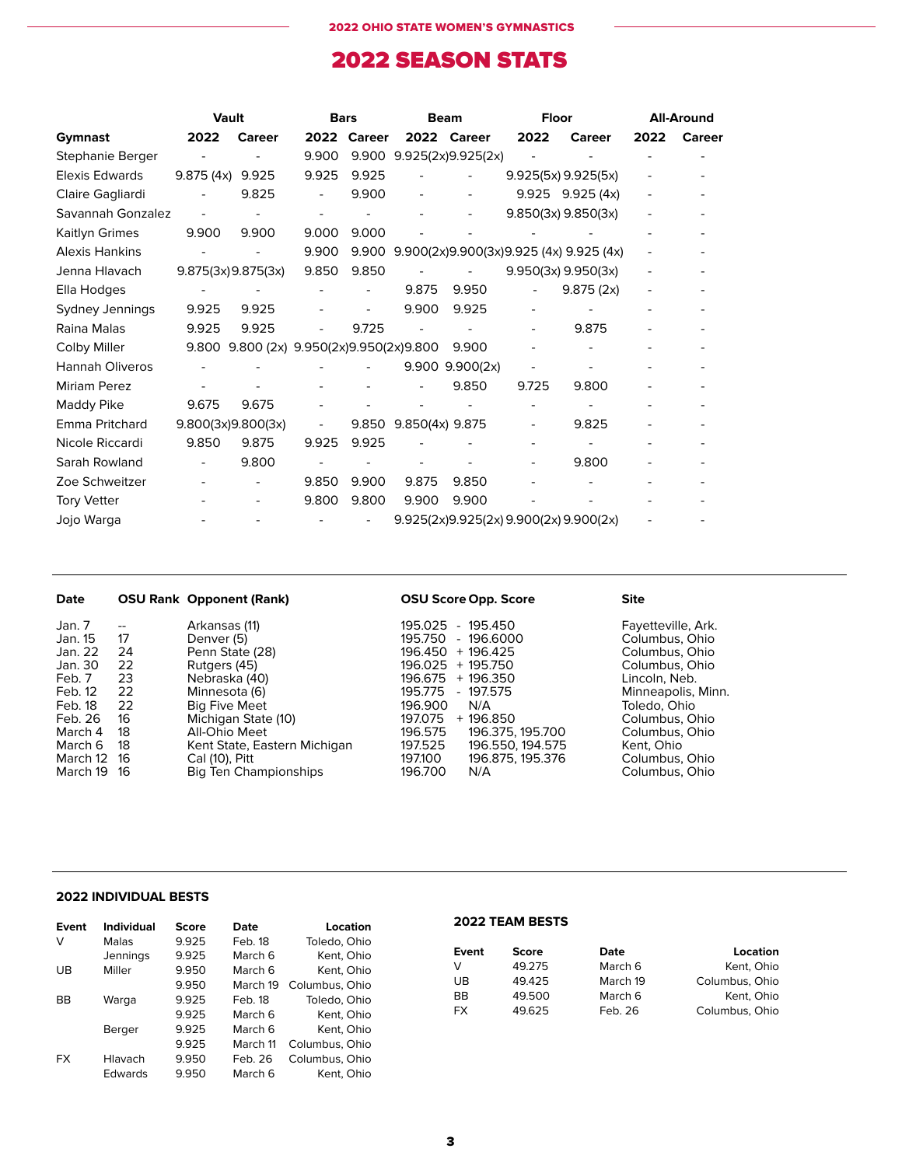# 2022 SEASON STATS

|                        | Vault              |                                    | <b>Bars</b> |        | <b>Beam</b>     |                          | <b>Floor</b> |                                               |      | <b>All-Around</b> |
|------------------------|--------------------|------------------------------------|-------------|--------|-----------------|--------------------------|--------------|-----------------------------------------------|------|-------------------|
| Gymnast                | 2022               | <b>Career</b>                      | 2022        | Career |                 | 2022 Career              | 2022         | Career                                        | 2022 | Career            |
| Stephanie Berger       |                    |                                    | 9.900       | 9.900  |                 | 9.925(2x)9.925(2x)       |              |                                               |      |                   |
| Elexis Edwards         | 9.875 (4x) 9.925   |                                    | 9.925       | 9.925  |                 | $\overline{\phantom{0}}$ |              | 9.925(5x) 9.925(5x)                           |      |                   |
| Claire Gagliardi       |                    | 9.825                              |             | 9.900  |                 |                          |              | $9.925$ $9.925$ $(4x)$                        |      |                   |
| Savannah Gonzalez      |                    |                                    |             |        |                 |                          |              | 9.850(3x) 9.850(3x)                           |      |                   |
| Kaitlyn Grimes         | 9.900              | 9.900                              | 9.000       | 9.000  |                 |                          |              |                                               |      |                   |
| <b>Alexis Hankins</b>  |                    |                                    | 9.900       |        |                 |                          |              | 9.900 9.900(2x)9.900(3x)9.925 (4x) 9.925 (4x) |      |                   |
| Jenna Hlavach          | 9.875(3x)9.875(3x) |                                    | 9.850       | 9.850  |                 |                          |              | $9.950(3x)$ $9.950(3x)$                       |      |                   |
| Ella Hodges            |                    |                                    |             |        | 9.875           | 9.950                    |              | 9.875(2x)                                     |      |                   |
| Sydney Jennings        | 9.925              | 9.925                              |             |        | 9.900           | 9.925                    |              |                                               |      |                   |
| Raina Malas            | 9.925              | 9.925                              |             | 9.725  |                 |                          |              | 9.875                                         |      |                   |
| Colby Miller           | 9.800              | 9.800 (2x) 9.950(2x)9.950(2x)9.800 |             |        |                 | 9.900                    |              |                                               |      |                   |
| <b>Hannah Oliveros</b> |                    |                                    |             |        | 9.900           | 9.900(2x)                |              |                                               |      |                   |
| <b>Miriam Perez</b>    |                    |                                    |             |        |                 | 9.850                    | 9.725        | 9.800                                         |      |                   |
| Maddy Pike             | 9.675              | 9.675                              |             |        |                 |                          |              |                                               |      |                   |
| Emma Pritchard         | 9.800(3x)9.800(3x) |                                    |             | 9.850  | 9.850(4x) 9.875 |                          |              | 9.825                                         |      |                   |
| Nicole Riccardi        | 9.850              | 9.875                              | 9.925       | 9.925  |                 |                          |              |                                               |      |                   |
| Sarah Rowland          |                    | 9.800                              |             |        |                 |                          |              | 9.800                                         |      |                   |
| Zoe Schweitzer         |                    |                                    | 9.850       | 9.900  | 9.875           | 9.850                    |              |                                               |      |                   |
| <b>Tory Vetter</b>     |                    |                                    | 9.800       | 9.800  | 9.900           | 9.900                    |              |                                               |      |                   |
| Jojo Warga             |                    |                                    |             |        |                 |                          |              | 9.925(2x)9.925(2x) 9.900(2x) 9.900(2x)        |      |                   |

| Date                                                                                                                                                                                                          | <b>OSU Rank Opponent (Rank)</b>                                                                                                                                                                                                             | <b>OSU Score Opp. Score</b>                                                                                                                                                                                                                                                                     | <b>Site</b>                                                                                                                                                                                                           |
|---------------------------------------------------------------------------------------------------------------------------------------------------------------------------------------------------------------|---------------------------------------------------------------------------------------------------------------------------------------------------------------------------------------------------------------------------------------------|-------------------------------------------------------------------------------------------------------------------------------------------------------------------------------------------------------------------------------------------------------------------------------------------------|-----------------------------------------------------------------------------------------------------------------------------------------------------------------------------------------------------------------------|
| Jan. 7<br>$- -$<br>Jan. 15<br>17<br>Jan. 22<br>24<br>Jan. 30<br>22<br>23<br>Feb. 7<br>Feb. 12<br>22<br>22<br>Feb. 18<br>Feb. 26<br>16<br>March 4<br>18<br>18<br>March 6<br>March 12<br>-16<br>March 19<br>-16 | Arkansas (11)<br>Denver (5)<br>Penn State (28)<br>Rutgers (45)<br>Nebraska (40)<br>Minnesota (6)<br><b>Big Five Meet</b><br>Michigan State (10)<br>All-Ohio Meet<br>Kent State, Eastern Michigan<br>Cal (10), Pitt<br>Big Ten Championships | 195.025<br>- 195.450<br>$-196.6000$<br>195.750<br>196.450 + 196.425<br>196.025 + 195.750<br>196.675 + 196.350<br>$-197.575$<br>195.775<br>196.900<br>N/A<br>197.075<br>+ 196.850<br>196.575<br>196.375, 195.700<br>197.525<br>196.550, 194.575<br>196.875, 195.376<br>197.100<br>196.700<br>N/A | Fayetteville, Ark.<br>Columbus, Ohio<br>Columbus, Ohio<br>Columbus, Ohio<br>Lincoln. Neb.<br>Minneapolis, Minn.<br>Toledo, Ohio<br>Columbus, Ohio<br>Columbus, Ohio<br>Kent. Ohio<br>Columbus, Ohio<br>Columbus, Ohio |

#### **2022 INDIVIDUAL BESTS**

| Event     | <b>Individual</b> | Score | Date     | Location       |
|-----------|-------------------|-------|----------|----------------|
| v         | Malas             | 9.925 | Feb. 18  | Toledo, Ohio   |
|           | Jennings          | 9.925 | March 6  | Kent. Ohio     |
| UB        | Miller            | 9.950 | March 6  | Kent, Ohio     |
|           |                   | 9.950 | March 19 | Columbus, Ohio |
| ВB        | Warga             | 9.925 | Feb. 18  | Toledo, Ohio   |
|           |                   | 9.925 | March 6  | Kent, Ohio     |
|           | Berger            | 9.925 | March 6  | Kent, Ohio     |
|           |                   | 9.925 | March 11 | Columbus, Ohio |
| <b>FX</b> | Hlavach           | 9.950 | Feb. 26  | Columbus, Ohio |
|           | <b>Edwards</b>    | 9.950 | March 6  | Kent. Ohio     |

### **2022 TEAM BESTS**

| Event     | <b>Score</b> | Date     | Location       |
|-----------|--------------|----------|----------------|
| v         | 49.275       | March 6  | Kent, Ohio     |
| UB        | 49.425       | March 19 | Columbus, Ohio |
| BB        | 49.500       | March 6  | Kent, Ohio     |
| <b>FX</b> | 49.625       | Feb. 26  | Columbus, Ohio |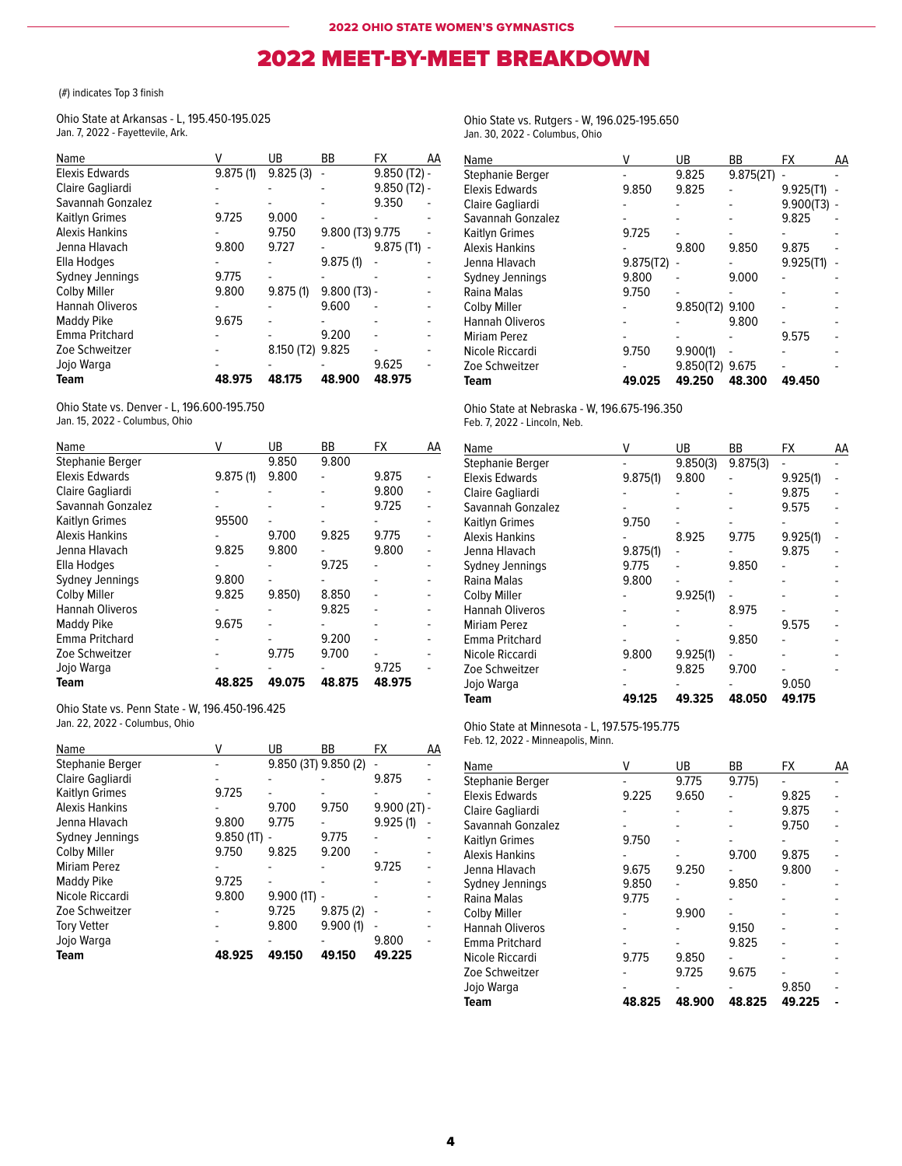## 2022 MEET-BY-MEET BREAKDOWN

#### (#) indicates Top 3 finish

Ohio State at Arkansas - L, 195.450-195.025 Jan. 7, 2022 - Fayettevile, Ark.

|          | UB       | ВB       | FX         | AA                                                                     |
|----------|----------|----------|------------|------------------------------------------------------------------------|
| 9.875(1) | 9.825(3) |          |            |                                                                        |
|          |          |          |            |                                                                        |
|          |          |          | 9.350      |                                                                        |
| 9.725    | 9.000    |          |            |                                                                        |
|          | 9.750    |          |            |                                                                        |
| 9.800    | 9.727    |          | 9.875(11)  |                                                                        |
|          |          | 9.875(1) |            |                                                                        |
| 9.775    |          |          |            |                                                                        |
| 9.800    | 9.875(1) |          |            |                                                                        |
|          |          | 9.600    |            |                                                                        |
| 9.675    |          |          |            |                                                                        |
|          |          | 9.200    |            |                                                                        |
|          |          | 9.825    |            |                                                                        |
|          |          |          | 9.625      |                                                                        |
| 48.975   | 48.175   | 48.900   | 48.975     |                                                                        |
|          |          |          | 8.150 (T2) | $9.850$ (T2) -<br>$9.850$ (T2) -<br>9.800 (T3) 9.775<br>$9.800$ (T3) - |

Ohio State vs. Denver - L, 196.600-195.750 Jan. 15, 2022 - Columbus, Ohio

| Name                  | v        | UB     | BB     | <b>FX</b> | AA |
|-----------------------|----------|--------|--------|-----------|----|
| Stephanie Berger      |          | 9.850  | 9.800  |           |    |
| Elexis Edwards        | 9.875(1) | 9.800  |        | 9.875     |    |
| Claire Gagliardi      |          |        |        | 9.800     |    |
| Savannah Gonzalez     |          |        |        | 9.725     |    |
| Kaitlyn Grimes        | 95500    |        |        |           |    |
| <b>Alexis Hankins</b> |          | 9.700  | 9.825  | 9.775     |    |
| Jenna Hlavach         | 9.825    | 9.800  |        | 9.800     |    |
| Ella Hodges           |          |        | 9.725  |           |    |
| Sydney Jennings       | 9.800    |        |        |           |    |
| Colby Miller          | 9.825    | 9.850  | 8.850  |           |    |
| Hannah Oliveros       |          |        | 9.825  |           |    |
| Maddy Pike            | 9.675    |        |        |           |    |
| Emma Pritchard        |          |        | 9.200  |           |    |
| Zoe Schweitzer        |          | 9.775  | 9.700  |           |    |
| Jojo Warga            |          |        |        | 9.725     |    |
| Team                  | 48.825   | 49.075 | 48.875 | 48.975    |    |

Ohio State vs. Penn State - W, 196.450-196.425 Jan. 22, 2022 - Columbus, Ohio

| Name                  | v        | UB                   | ВB       | FX            | AA |
|-----------------------|----------|----------------------|----------|---------------|----|
| Stephanie Berger      |          | 9.850 (3T) 9.850 (2) |          |               |    |
| Claire Gagliardi      |          |                      |          | 9.875         |    |
| Kaitlyn Grimes        | 9.725    |                      |          |               |    |
| <b>Alexis Hankins</b> |          | 9.700                | 9.750    | $9.900(2T)$ - |    |
| Jenna Hlavach         | 9.800    | 9.775                |          | 9.925(1)      |    |
| Sydney Jennings       | 9.850(1) |                      | 9.775    |               |    |
| <b>Colby Miller</b>   | 9.750    | 9.825                | 9.200    |               |    |
| <b>Miriam Perez</b>   |          |                      |          | 9.725         |    |
| Maddy Pike            | 9.725    |                      |          |               |    |
| Nicole Riccardi       | 9.800    | 9.900(1)             | ٠        |               |    |
| Zoe Schweitzer        |          | 9.725                | 9.875(2) |               |    |
| <b>Tory Vetter</b>    |          | 9.800                | 9.900(1) |               |    |
| Jojo Warga            |          |                      |          | 9.800         |    |
| Team                  | 48.925   | 49.150               | 49.150   | 49.225        |    |

Ohio State vs. Rutgers - W, 196.025-195.650 Jan. 30, 2022 - Columbus, Ohio

| Name                  |           | UB        | ВB        | FX        | АΑ |
|-----------------------|-----------|-----------|-----------|-----------|----|
| Stephanie Berger      |           | 9.825     | 9.875(2T) |           |    |
| Elexis Edwards        | 9.850     | 9.825     |           | 9.925(T1) |    |
| Claire Gagliardi      |           |           |           | 9.900(T3) |    |
| Savannah Gonzalez     |           |           |           | 9.825     |    |
| Kaitlyn Grimes        | 9.725     |           |           |           |    |
| <b>Alexis Hankins</b> |           | 9.800     | 9.850     | 9.875     |    |
| Jenna Hlavach         | 9.875(T2) |           |           | 9.925(T1) |    |
| Sydney Jennings       | 9.800     |           | 9.000     |           |    |
| Raina Malas           | 9.750     |           |           |           |    |
| Colby Miller          |           | 9.850(T2) | 9.100     |           |    |
| Hannah Oliveros       |           |           | 9.800     |           |    |
| Miriam Perez          |           |           |           | 9.575     |    |
| Nicole Riccardi       | 9.750     | 9.900(1)  |           |           |    |
| Zoe Schweitzer        |           | 9.850(T2) | 9.675     |           |    |
| Team                  | 49.025    | 49.250    | 48.300    | 49.450    |    |

#### Ohio State at Nebraska - W, 196.675-196.350 Feb. 7, 2022 - Lincoln, Neb.

|  | $U, I, ZUZZ - LIII$ |  |
|--|---------------------|--|
|  |                     |  |

| Name                   | ۷        | UB       | ВB       | FX       | AA |
|------------------------|----------|----------|----------|----------|----|
| Stephanie Berger       |          | 9.850(3) | 9.875(3) |          |    |
| Elexis Edwards         | 9.875(1) | 9.800    |          | 9.925(1) |    |
| Claire Gagliardi       |          |          |          | 9.875    |    |
| Savannah Gonzalez      |          |          |          | 9.575    |    |
| Kaitlyn Grimes         | 9.750    |          |          |          |    |
| Alexis Hankins         |          | 8.925    | 9.775    | 9.925(1) |    |
| Jenna Hlavach          | 9.875(1) |          |          | 9.875    |    |
| Sydney Jennings        | 9.775    |          | 9.850    |          |    |
| Raina Malas            | 9.800    |          |          |          |    |
| <b>Colby Miller</b>    |          | 9.925(1) |          |          |    |
| <b>Hannah Oliveros</b> |          |          | 8.975    |          |    |
| Miriam Perez           |          |          |          | 9.575    |    |
| Emma Pritchard         |          |          | 9.850    |          |    |
| Nicole Riccardi        | 9.800    | 9.925(1) |          |          |    |
| Zoe Schweitzer         |          | 9.825    | 9.700    |          |    |
| Jojo Warga             |          |          |          | 9.050    |    |
| Team                   | 49.125   | 49.325   | 48.050   | 49.175   |    |

Ohio State at Minnesota - L, 197.575-195.775 Feb. 12, 2022 - Minneapolis, Minn.

| Name              | ۷      | UB     | BB     | <b>FX</b> | AA |
|-------------------|--------|--------|--------|-----------|----|
| Stephanie Berger  |        | 9.775  | 9.775  |           |    |
| Elexis Edwards    | 9.225  | 9.650  |        | 9.825     |    |
| Claire Gagliardi  |        |        |        | 9.875     |    |
| Savannah Gonzalez |        |        |        | 9.750     |    |
| Kaitlyn Grimes    | 9.750  |        |        |           |    |
| Alexis Hankins    |        |        | 9.700  | 9.875     |    |
| Jenna Hlavach     | 9.675  | 9.250  |        | 9.800     |    |
| Sydney Jennings   | 9.850  |        | 9.850  |           |    |
| Raina Malas       | 9.775  |        |        |           |    |
| Colby Miller      |        | 9.900  |        |           |    |
| Hannah Oliveros   |        |        | 9.150  |           |    |
| Emma Pritchard    |        |        | 9.825  |           |    |
| Nicole Riccardi   | 9.775  | 9.850  |        |           |    |
| Zoe Schweitzer    |        | 9.725  | 9.675  |           |    |
| Jojo Warga        |        |        |        | 9.850     |    |
| Team              | 48.825 | 48.900 | 48.825 | 49.225    |    |